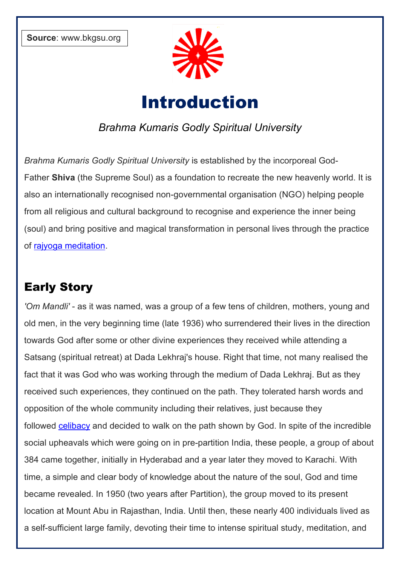

# Introduction

## *Brahma Kumaris Godly Spiritual University*

*Brahma Kumaris Godly Spiritual University* is established by the incorporeal God-Father **Shiva** (the Supreme Soul) as a foundation to recreate the new heavenly world. It is also an internationally recognised non-governmental organisation (NGO) helping people from all religious and cultural background to recognise and experience the inner being (soul) and bring positive and magical transformation in personal lives through the practice of [rajyoga meditation.](https://www.shivbabas.org/rajyoga-meditation)

## Early Story

*'Om Mandli'* - as it was named, was a group of a few tens of children, mothers, young and old men, in the very beginning time (late 1936) who surrendered their lives in the direction towards God after some or other divine experiences they received while attending a Satsang (spiritual retreat) at Dada Lekhraj's house. Right that time, not many realised the fact that it was God who was working through the medium of Dada Lekhraj. But as they received such experiences, they continued on the path. They tolerated harsh words and opposition of the whole community including their relatives, just because they followed [celibacy](https://www.shivbabas.org/celibacy) and decided to walk on the path shown by God. In spite of the incredible social upheavals which were going on in pre-partition India, these people, a group of about 384 came together, initially in Hyderabad and a year later they moved to Karachi. With time, a simple and clear body of knowledge about the nature of the soul, God and time became revealed. In 1950 (two years after Partition), the group moved to its present location at Mount Abu in Rajasthan, India. Until then, these nearly 400 individuals lived as a self-sufficient large family, devoting their time to intense spiritual study, meditation, and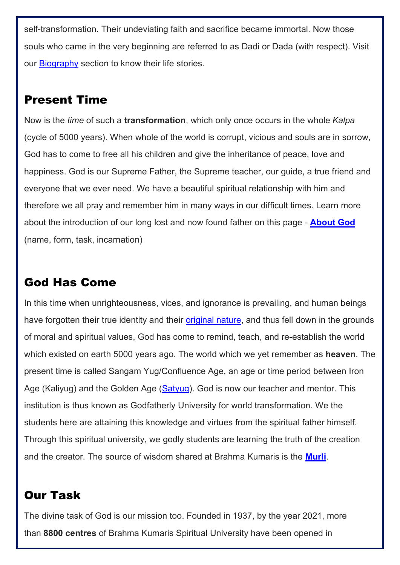self-transformation. Their undeviating faith and sacrifice became immortal. Now those souls who came in the very beginning are referred to as Dadi or Dada (with respect). Visit our [Biography](https://www.shivbabas.org/biography) section to know their life stories.

## Present Time

Now is the *time* of such a **transformation**, which only once occurs in the whole *Kalpa* (cycle of 5000 years). When whole of the world is corrupt, vicious and souls are in sorrow, God has to come to free all his children and give the inheritance of peace, love and happiness. God is our Supreme Father, the Supreme teacher, our guide, a true friend and everyone that we ever need. We have a beautiful spiritual relationship with him and therefore we all pray and remember him in many ways in our difficult times. Learn more about the introduction of our long lost and now found father on this page - **[About God](https://www.shivbabas.org/god-the-supreme-soul-shiv-baba)** (name, form, task, incarnation)

## God Has Come

In this time when unrighteousness, vices, and ignorance is prevailing, and human beings have forgotten their true identity and their [original nature,](https://files.shivbabas.org/wp-content/uploads/7-Virtues-of-Soul-in-English.pdf) and thus fell down in the grounds of moral and spiritual values, God has come to remind, teach, and re-establish the world which existed on earth 5000 years ago. The world which we yet remember as **heaven**. The present time is called Sangam Yug/Confluence Age, an age or time period between Iron Age (Kaliyug) and the Golden Age [\(Satyug\)](https://www.shivbabas.org/downloads). God is now our teacher and mentor. This institution is thus known as Godfatherly University for world transformation. We the students here are attaining this knowledge and virtues from the spiritual father himself. Through this spiritual university, we godly students are learning the truth of the creation and the creator. The source of wisdom shared at Brahma Kumaris is the **[Murli](https://www.shivbabas.org/what-is-murli)**.

## Our Task

The divine task of God is our mission too. Founded in 1937, by the year 2021, more than **8800 centres** of Brahma Kumaris Spiritual University have been opened in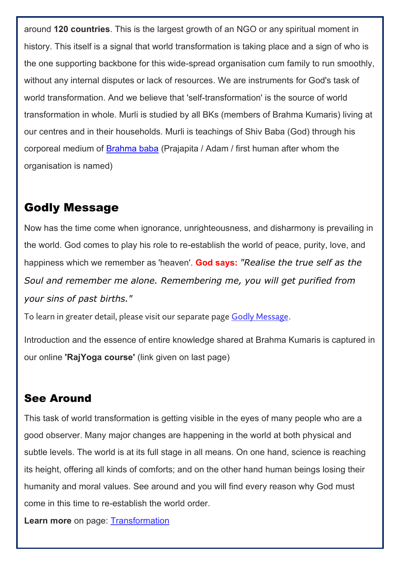around **120 countries**. This is the largest growth of an NGO or any spiritual moment in history. This itself is a signal that world transformation is taking place and a sign of who is the one supporting backbone for this wide-spread organisation cum family to run smoothly, without any internal disputes or lack of resources. We are instruments for God's task of world transformation. And we believe that 'self-transformation' is the source of world transformation in whole. Murli is studied by all BKs (members of Brahma Kumaris) living at our centres and in their households. Murli is teachings of Shiv Baba (God) through his corporeal medium of [Brahma baba](https://files.shivbabas.org/wp-content/uploads/Brahma-Baba-Biography-Life-Story-in-English.pdf) (Prajapita / Adam / first human after whom the organisation is named)

#### Godly Message

Now has the time come when ignorance, unrighteousness, and disharmony is prevailing in the world. God comes to play his role to re-establish the world of peace, purity, love, and happiness which we remember as 'heaven'. **God says:** *"Realise the true self as the Soul and remember me alone. Remembering me, you will get purified from your sins of past births."*

To learn in greater detail, please visit our separate page [Godly Message](https://www.shivbabas.org/shiv-baba-message).

Introduction and the essence of entire knowledge shared at Brahma Kumaris is captured in our online **'RajYoga course'** (link given on last page)

## See Around

This task of world transformation is getting visible in the eyes of many people who are a good observer. Many major changes are happening in the world at both physical and subtle levels. The world is at its full stage in all means. On one hand, science is reaching its height, offering all kinds of comforts; and on the other hand human beings losing their humanity and moral values. See around and you will find every reason why God must come in this time to re-establish the world order.

**Learn more** on page: **Transformation**